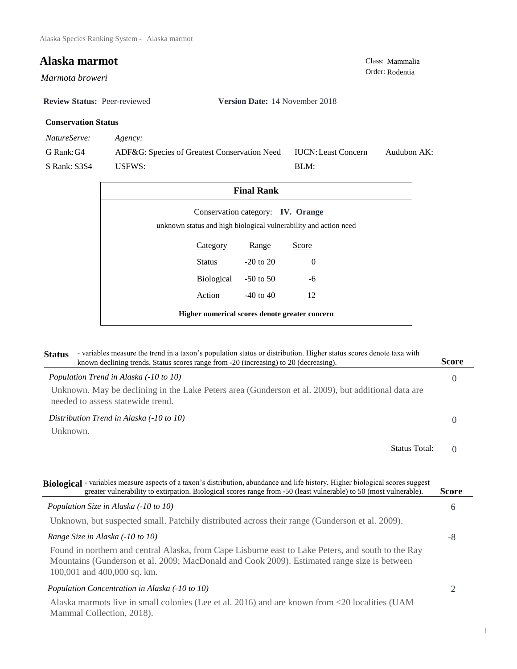Order: Rodentia *Marmota broweri* 

**Review Status:** Peer-reviewed **Version Date:** 14 November 2018

# **Conservation Status**

*NatureServe: Agency:*

G Rank:G4 S Rank: S3S4 ADF&G: Species of Greatest Conservation Need USFWS: Audubon AK: BLM: IUCN:Least Concern

| <b>Final Rank</b>                                                                                     |                      |               |          |  |
|-------------------------------------------------------------------------------------------------------|----------------------|---------------|----------|--|
| Conservation category: IV. Orange<br>unknown status and high biological vulnerability and action need |                      |               |          |  |
|                                                                                                       | <b>Category</b>      | Range         | Score    |  |
|                                                                                                       | Status               | $-20$ to $20$ | $\Omega$ |  |
|                                                                                                       | Biological -50 to 50 |               | -6       |  |
|                                                                                                       | Action               | $-40$ to $40$ | 12       |  |
| Higher numerical scores denote greater concern                                                        |                      |               |          |  |

| <b>Status</b> | - variables measure the trend in a taxon's population status or distribution. Higher status scores denote taxa with<br>known declining trends. Status scores range from -20 (increasing) to 20 (decreasing). | <b>Score</b> |
|---------------|--------------------------------------------------------------------------------------------------------------------------------------------------------------------------------------------------------------|--------------|
|               | Population Trend in Alaska (-10 to 10)                                                                                                                                                                       |              |
|               | Unknown. May be declining in the Lake Peters area (Gunderson et al. 2009), but additional data are<br>needed to assess statewide trend.                                                                      |              |
|               | Distribution Trend in Alaska (-10 to 10)                                                                                                                                                                     |              |
| Unknown.      |                                                                                                                                                                                                              |              |
|               | <b>Status Total:</b>                                                                                                                                                                                         |              |

| Biological - variables measure aspects of a taxon's distribution, abundance and life history. Higher biological scores suggest<br>greater vulnerability to extirpation. Biological scores range from -50 (least vulnerable) to 50 (most vulnerable). | <b>Score</b> |
|------------------------------------------------------------------------------------------------------------------------------------------------------------------------------------------------------------------------------------------------------|--------------|
| Population Size in Alaska (-10 to 10)                                                                                                                                                                                                                | 6            |
| Unknown, but suspected small. Patchily distributed across their range (Gunderson et al. 2009).                                                                                                                                                       |              |
| Range Size in Alaska (-10 to 10)                                                                                                                                                                                                                     | -8           |
| Found in northern and central Alaska, from Cape Lisburne east to Lake Peters, and south to the Ray<br>Mountains (Gunderson et al. 2009; MacDonald and Cook 2009). Estimated range size is between<br>100,001 and 400,000 sq. km.                     |              |
| Population Concentration in Alaska (-10 to 10)                                                                                                                                                                                                       |              |
| Alaska marmots live in small colonies (Lee et al. 2016) and are known from <20 localities (UAM<br>Mammal Collection, 2018).                                                                                                                          |              |

**Alaska marmot** Class: Mammalia Class: Mammalia Order: Rodentia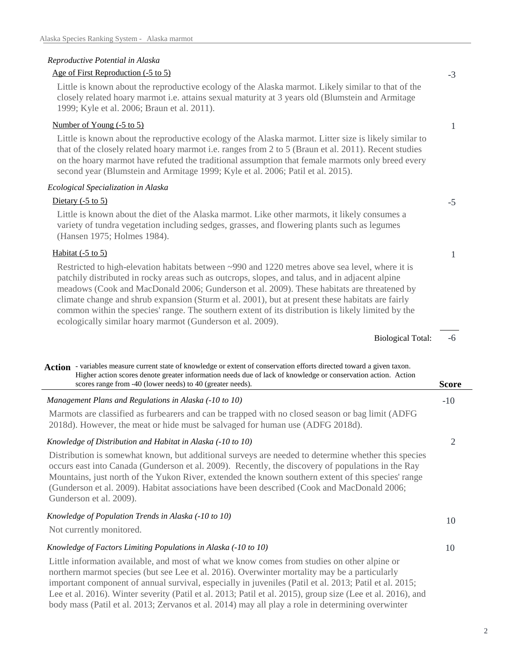# *Reproductive Potential in Alaska*

| Age of First Reproduction (-5 to 5) |  |  |
|-------------------------------------|--|--|
|                                     |  |  |

Little is known about the reproductive ecology of the Alaska marmot. Likely similar to that of the closely related hoary marmot i.e. attains sexual maturity at 3 years old (Blumstein and Armitage 1999; Kyle et al. 2006; Braun et al. 2011).

## Number of Young (-5 to 5)

Little is known about the reproductive ecology of the Alaska marmot. Litter size is likely similar to that of the closely related hoary marmot i.e. ranges from 2 to 5 (Braun et al. 2011). Recent studies on the hoary marmot have refuted the traditional assumption that female marmots only breed every second year (Blumstein and Armitage 1999; Kyle et al. 2006; Patil et al. 2015).

### *Ecological Specialization in Alaska*

### Dietary (-5 to 5)

Little is known about the diet of the Alaska marmot. Like other marmots, it likely consumes a variety of tundra vegetation including sedges, grasses, and flowering plants such as legumes (Hansen 1975; Holmes 1984).

# Habitat  $(-5 \text{ to } 5)$

Restricted to high-elevation habitats between ~990 and 1220 metres above sea level, where it is patchily distributed in rocky areas such as outcrops, slopes, and talus, and in adjacent alpine meadows (Cook and MacDonald 2006; Gunderson et al. 2009). These habitats are threatened by climate change and shrub expansion (Sturm et al. 2001), but at present these habitats are fairly common within the species' range. The southern extent of its distribution is likely limited by the ecologically similar hoary marmot (Gunderson et al. 2009).

> -6 Biological Total:

-3

1

-5

1

| Action - variables measure current state of knowledge or extent of conservation efforts directed toward a given taxon.<br>Higher action scores denote greater information needs due of lack of knowledge or conservation action. Action<br>scores range from -40 (lower needs) to 40 (greater needs).                                                                                                                                      | <b>Score</b> |
|--------------------------------------------------------------------------------------------------------------------------------------------------------------------------------------------------------------------------------------------------------------------------------------------------------------------------------------------------------------------------------------------------------------------------------------------|--------------|
| Management Plans and Regulations in Alaska (-10 to 10)                                                                                                                                                                                                                                                                                                                                                                                     | $-10$        |
| Marmots are classified as furbearers and can be trapped with no closed season or bag limit (ADFG<br>2018d). However, the meat or hide must be salvaged for human use (ADFG 2018d).                                                                                                                                                                                                                                                         |              |
| Knowledge of Distribution and Habitat in Alaska (-10 to 10)                                                                                                                                                                                                                                                                                                                                                                                | 2            |
| Distribution is somewhat known, but additional surveys are needed to determine whether this species<br>occurs east into Canada (Gunderson et al. 2009). Recently, the discovery of populations in the Ray<br>Mountains, just north of the Yukon River, extended the known southern extent of this species' range<br>(Gunderson et al. 2009). Habitat associations have been described (Cook and MacDonald 2006;<br>Gunderson et al. 2009). |              |
| Knowledge of Population Trends in Alaska (-10 to 10)<br>Not currently monitored.                                                                                                                                                                                                                                                                                                                                                           | 10           |
| Knowledge of Factors Limiting Populations in Alaska (-10 to 10)                                                                                                                                                                                                                                                                                                                                                                            | 10           |
| Little information available, and most of what we know comes from studies on other alpine or<br>northern marmot species (but see Lee et al. 2016). Overwinter mortality may be a particularly<br>important component of annual survival, especially in juveniles (Patil et al. 2013; Patil et al. 2015;                                                                                                                                    |              |

Lee et al. 2016). Winter severity (Patil et al. 2013; Patil et al. 2015), group size (Lee et al. 2016), and body mass (Patil et al. 2013; Zervanos et al. 2014) may all play a role in determining overwinter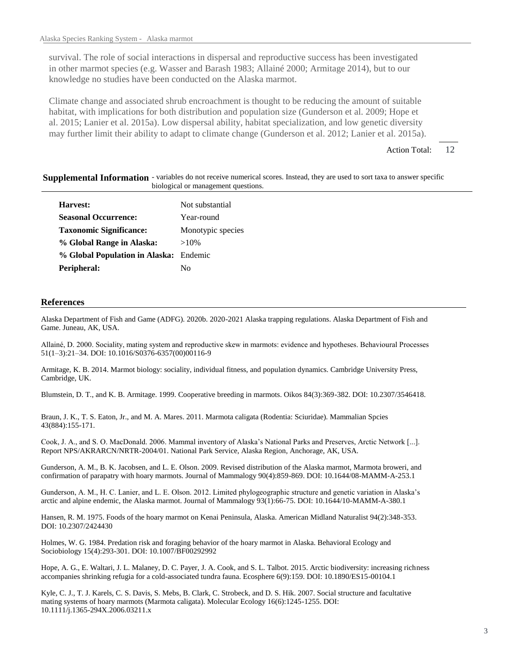survival. The role of social interactions in dispersal and reproductive success has been investigated in other marmot species (e.g. Wasser and Barash 1983; Allainé 2000; Armitage 2014), but to our knowledge no studies have been conducted on the Alaska marmot.

Climate change and associated shrub encroachment is thought to be reducing the amount of suitable habitat, with implications for both distribution and population size (Gunderson et al. 2009; Hope et al. 2015; Lanier et al. 2015a). Low dispersal ability, habitat specialization, and low genetic diversity may further limit their ability to adapt to climate change (Gunderson et al. 2012; Lanier et al. 2015a).

> 12 Action Total:

#### Supplemental Information - variables do not receive numerical scores. Instead, they are used to sort taxa to answer specific biological or management questions.

| Harvest:                               | Not substantial   |
|----------------------------------------|-------------------|
| <b>Seasonal Occurrence:</b>            | Year-round        |
| <b>Taxonomic Significance:</b>         | Monotypic species |
| % Global Range in Alaska:              | $>10\%$           |
| % Global Population in Alaska: Endemic |                   |
| Peripheral:                            | Nο                |

#### **References**

Alaska Department of Fish and Game (ADFG). 2020b. 2020-2021 Alaska trapping regulations. Alaska Department of Fish and Game. Juneau, AK, USA.

Allainé, D. 2000. Sociality, mating system and reproductive skew in marmots: evidence and hypotheses. Behavioural Processes 51(1–3):21–34. DOI: 10.1016/S0376-6357(00)00116-9

Armitage, K. B. 2014. Marmot biology: sociality, individual fitness, and population dynamics. Cambridge University Press, Cambridge, UK.

Blumstein, D. T., and K. B. Armitage. 1999. Cooperative breeding in marmots. Oikos 84(3):369-382. DOI: 10.2307/3546418.

Braun, J. K., T. S. Eaton, Jr., and M. A. Mares. 2011. Marmota caligata (Rodentia: Sciuridae). Mammalian Spcies 43(884):155-171.

Cook, J. A., and S. O. MacDonald. 2006. Mammal inventory of Alaska's National Parks and Preserves, Arctic Network [...]. Report NPS/AKRARCN/NRTR-2004/01. National Park Service, Alaska Region, Anchorage, AK, USA.

Gunderson, A. M., B. K. Jacobsen, and L. E. Olson. 2009. Revised distribution of the Alaska marmot, Marmota broweri, and confirmation of parapatry with hoary marmots. Journal of Mammalogy 90(4):859-869. DOI: 10.1644/08-MAMM-A-253.1

Gunderson, A. M., H. C. Lanier, and L. E. Olson. 2012. Limited phylogeographic structure and genetic variation in Alaska's arctic and alpine endemic, the Alaska marmot. Journal of Mammalogy 93(1):66-75. DOI: 10.1644/10-MAMM-A-380.1

Hansen, R. M. 1975. Foods of the hoary marmot on Kenai Peninsula, Alaska. American Midland Naturalist 94(2):348-353. DOI: 10.2307/2424430

Holmes, W. G. 1984. Predation risk and foraging behavior of the hoary marmot in Alaska. Behavioral Ecology and Sociobiology 15(4):293-301. DOI: 10.1007/BF00292992

Hope, A. G., E. Waltari, J. L. Malaney, D. C. Payer, J. A. Cook, and S. L. Talbot. 2015. Arctic biodiversity: increasing richness accompanies shrinking refugia for a cold-associated tundra fauna. Ecosphere 6(9):159. DOI: 10.1890/ES15-00104.1

Kyle, C. J., T. J. Karels, C. S. Davis, S. Mebs, B. Clark, C. Strobeck, and D. S. Hik. 2007. Social structure and facultative mating systems of hoary marmots (Marmota caligata). Molecular Ecology 16(6):1245-1255. DOI: 10.1111/j.1365-294X.2006.03211.x